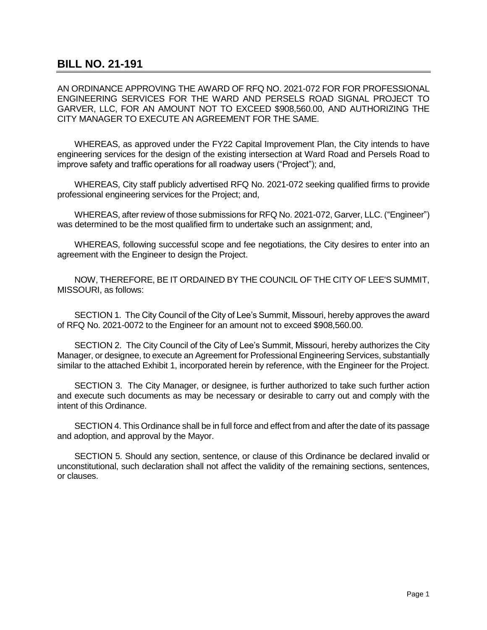## **BILL NO. 21-191**

AN ORDINANCE APPROVING THE AWARD OF RFQ NO. 2021-072 FOR FOR PROFESSIONAL ENGINEERING SERVICES FOR THE WARD AND PERSELS ROAD SIGNAL PROJECT TO GARVER, LLC, FOR AN AMOUNT NOT TO EXCEED \$908,560.00, AND AUTHORIZING THE CITY MANAGER TO EXECUTE AN AGREEMENT FOR THE SAME.

WHEREAS, as approved under the FY22 Capital Improvement Plan, the City intends to have engineering services for the design of the existing intersection at Ward Road and Persels Road to improve safety and traffic operations for all roadway users ("Project"); and,

WHEREAS, City staff publicly advertised RFQ No. 2021-072 seeking qualified firms to provide professional engineering services for the Project; and,

WHEREAS, after review of those submissions for RFQ No. 2021-072, Garver, LLC. ("Engineer") was determined to be the most qualified firm to undertake such an assignment; and,

WHEREAS, following successful scope and fee negotiations, the City desires to enter into an agreement with the Engineer to design the Project.

NOW, THEREFORE, BE IT ORDAINED BY THE COUNCIL OF THE CITY OF LEE'S SUMMIT, MISSOURI, as follows:

SECTION 1. The City Council of the City of Lee's Summit, Missouri, hereby approves the award of RFQ No. 2021-0072 to the Engineer for an amount not to exceed \$908,560.00.

SECTION 2. The City Council of the City of Lee's Summit, Missouri, hereby authorizes the City Manager, or designee, to execute an Agreement for Professional Engineering Services, substantially similar to the attached Exhibit 1, incorporated herein by reference, with the Engineer for the Project.

SECTION 3. The City Manager, or designee, is further authorized to take such further action and execute such documents as may be necessary or desirable to carry out and comply with the intent of this Ordinance.

SECTION 4. This Ordinance shall be in full force and effect from and after the date of its passage and adoption, and approval by the Mayor.

SECTION 5. Should any section, sentence, or clause of this Ordinance be declared invalid or unconstitutional, such declaration shall not affect the validity of the remaining sections, sentences, or clauses.